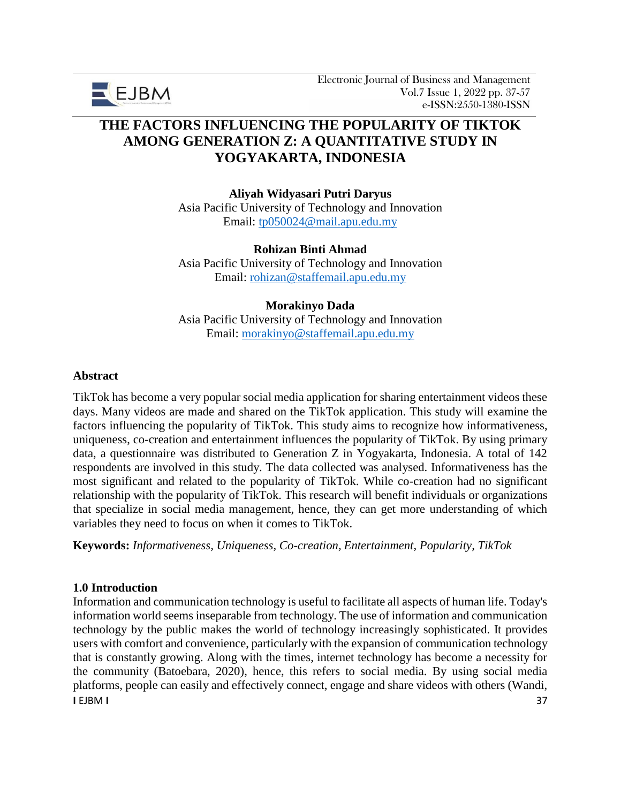

# **THE FACTORS INFLUENCING THE POPULARITY OF TIKTOK AMONG GENERATION Z: A QUANTITATIVE STUDY IN YOGYAKARTA, INDONESIA**

**Aliyah Widyasari Putri Daryus** Asia Pacific University of Technology and Innovation Email: [tp050024@mail.apu.edu.my](mailto:tp050024@mail.apu.edu.my)

**Rohizan Binti Ahmad**

Asia Pacific University of Technology and Innovation Email: [rohizan@staffemail.apu.edu.my](mailto:rohizan@staffemail.apu.edu.my)

#### **Morakinyo Dada**

Asia Pacific University of Technology and Innovation Email: [morakinyo@staffemail.apu.edu.my](mailto:morakinyo@staffemail.apu.edu.my)

#### **Abstract**

TikTok has become a very popular social media application for sharing entertainment videos these days. Many videos are made and shared on the TikTok application. This study will examine the factors influencing the popularity of TikTok. This study aims to recognize how informativeness, uniqueness, co-creation and entertainment influences the popularity of TikTok. By using primary data, a questionnaire was distributed to Generation Z in Yogyakarta, Indonesia. A total of 142 respondents are involved in this study. The data collected was analysed. Informativeness has the most significant and related to the popularity of TikTok. While co-creation had no significant relationship with the popularity of TikTok. This research will benefit individuals or organizations that specialize in social media management, hence, they can get more understanding of which variables they need to focus on when it comes to TikTok.

**Keywords:** *Informativeness, Uniqueness, Co-creation, Entertainment, Popularity, TikTok*

## **1.0 Introduction**

**I** EJBM **I** 37 Information and communication technology is useful to facilitate all aspects of human life. Today's information world seems inseparable from technology. The use of information and communication technology by the public makes the world of technology increasingly sophisticated. It provides users with comfort and convenience, particularly with the expansion of communication technology that is constantly growing. Along with the times, internet technology has become a necessity for the community (Batoebara, 2020), hence, this refers to social media. By using social media platforms, people can easily and effectively connect, engage and share videos with others (Wandi,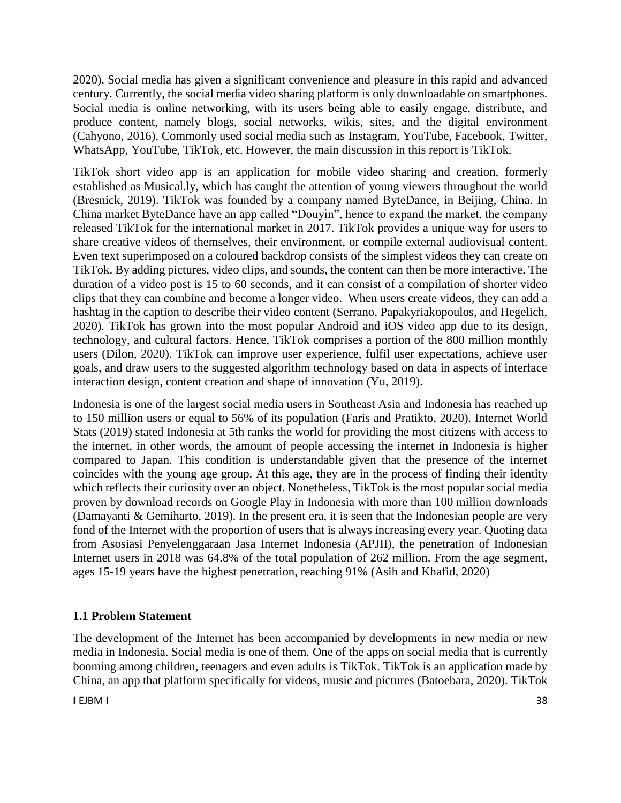2020). Social media has given a significant convenience and pleasure in this rapid and advanced century. Currently, the social media video sharing platform is only downloadable on smartphones. Social media is online networking, with its users being able to easily engage, distribute, and produce content, namely blogs, social networks, wikis, sites, and the digital environment (Cahyono, 2016). Commonly used social media such as Instagram, YouTube, Facebook, Twitter, WhatsApp, YouTube, TikTok, etc. However, the main discussion in this report is TikTok.

TikTok short video app is an application for mobile video sharing and creation, formerly established as Musical.ly, which has caught the attention of young viewers throughout the world (Bresnick, 2019). TikTok was founded by a company named ByteDance, in Beijing, China. In China market ByteDance have an app called "Douyin", hence to expand the market, the company released TikTok for the international market in 2017. TikTok provides a unique way for users to share creative videos of themselves, their environment, or compile external audiovisual content. Even text superimposed on a coloured backdrop consists of the simplest videos they can create on TikTok. By adding pictures, video clips, and sounds, the content can then be more interactive. The duration of a video post is 15 to 60 seconds, and it can consist of a compilation of shorter video clips that they can combine and become a longer video. When users create videos, they can add a hashtag in the caption to describe their video content (Serrano, Papakyriakopoulos, and Hegelich, 2020). TikTok has grown into the most popular Android and iOS video app due to its design, technology, and cultural factors. Hence, TikTok comprises a portion of the 800 million monthly users (Dilon, 2020). TikTok can improve user experience, fulfil user expectations, achieve user goals, and draw users to the suggested algorithm technology based on data in aspects of interface interaction design, content creation and shape of innovation (Yu, 2019).

Indonesia is one of the largest social media users in Southeast Asia and Indonesia has reached up to 150 million users or equal to 56% of its population (Faris and Pratikto, 2020). Internet World Stats (2019) stated Indonesia at 5th ranks the world for providing the most citizens with access to the internet, in other words, the amount of people accessing the internet in Indonesia is higher compared to Japan. This condition is understandable given that the presence of the internet coincides with the young age group. At this age, they are in the process of finding their identity which reflects their curiosity over an object. Nonetheless, TikTok is the most popular social media proven by download records on Google Play in Indonesia with more than 100 million downloads (Damayanti & Gemiharto, 2019). In the present era, it is seen that the Indonesian people are very fond of the Internet with the proportion of users that is always increasing every year. Quoting data from Asosiasi Penyelenggaraan Jasa Internet Indonesia (APJII), the penetration of Indonesian Internet users in 2018 was 64.8% of the total population of 262 million. From the age segment, ages 15-19 years have the highest penetration, reaching 91% (Asih and Khafid, 2020)

## **1.1 Problem Statement**

The development of the Internet has been accompanied by developments in new media or new media in Indonesia. Social media is one of them. One of the apps on social media that is currently booming among children, teenagers and even adults is TikTok. TikTok is an application made by China, an app that platform specifically for videos, music and pictures (Batoebara, 2020). TikTok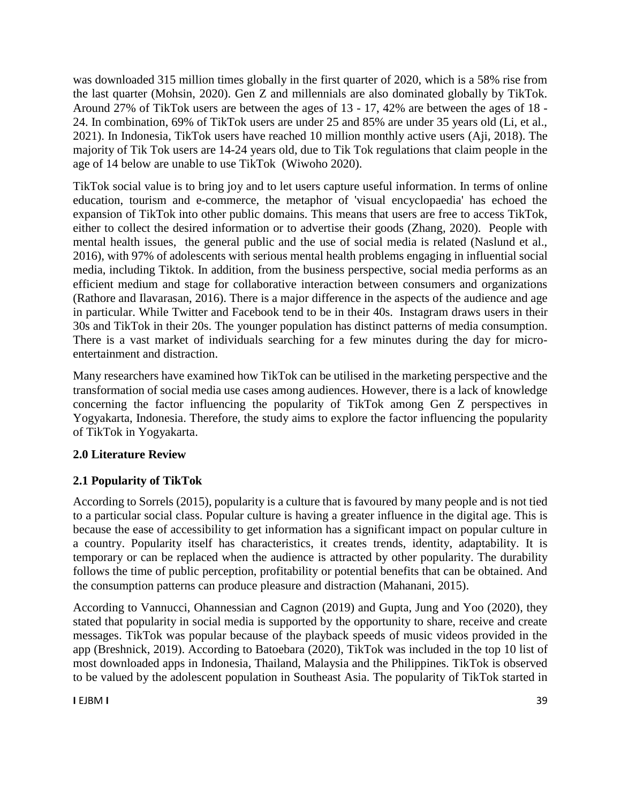was downloaded 315 million times globally in the first quarter of 2020, which is a 58% rise from the last quarter (Mohsin, 2020). Gen Z and millennials are also dominated globally by TikTok. Around 27% of TikTok users are between the ages of 13 - 17, 42% are between the ages of 18 - 24. In combination, 69% of TikTok users are under 25 and 85% are under 35 years old (Li, et al., 2021). In Indonesia, TikTok users have reached 10 million monthly active users (Aji, 2018). The majority of Tik Tok users are 14-24 years old, due to Tik Tok regulations that claim people in the age of 14 below are unable to use TikTok (Wiwoho 2020).

TikTok social value is to bring joy and to let users capture useful information. In terms of online education, tourism and e-commerce, the metaphor of 'visual encyclopaedia' has echoed the expansion of TikTok into other public domains. This means that users are free to access TikTok, either to collect the desired information or to advertise their goods (Zhang, 2020). People with mental health issues, the general public and the use of social media is related (Naslund et al., 2016), with 97% of adolescents with serious mental health problems engaging in influential social media, including Tiktok. In addition, from the business perspective, social media performs as an efficient medium and stage for collaborative interaction between consumers and organizations (Rathore and Ilavarasan, 2016). There is a major difference in the aspects of the audience and age in particular. While Twitter and Facebook tend to be in their 40s. Instagram draws users in their 30s and TikTok in their 20s. The younger population has distinct patterns of media consumption. There is a vast market of individuals searching for a few minutes during the day for microentertainment and distraction.

Many researchers have examined how TikTok can be utilised in the marketing perspective and the transformation of social media use cases among audiences. However, there is a lack of knowledge concerning the factor influencing the popularity of TikTok among Gen Z perspectives in Yogyakarta, Indonesia. Therefore, the study aims to explore the factor influencing the popularity of TikTok in Yogyakarta.

# **2.0 Literature Review**

# **2.1 Popularity of TikTok**

According to Sorrels (2015), popularity is a culture that is favoured by many people and is not tied to a particular social class. Popular culture is having a greater influence in the digital age. This is because the ease of accessibility to get information has a significant impact on popular culture in a country. Popularity itself has characteristics, it creates trends, identity, adaptability. It is temporary or can be replaced when the audience is attracted by other popularity. The durability follows the time of public perception, profitability or potential benefits that can be obtained. And the consumption patterns can produce pleasure and distraction (Mahanani, 2015).

According to Vannucci, Ohannessian and Cagnon (2019) and Gupta, Jung and Yoo (2020), they stated that popularity in social media is supported by the opportunity to share, receive and create messages. TikTok was popular because of the playback speeds of music videos provided in the app (Breshnick, 2019). According to Batoebara (2020), TikTok was included in the top 10 list of most downloaded apps in Indonesia, Thailand, Malaysia and the Philippines. TikTok is observed to be valued by the adolescent population in Southeast Asia. The popularity of TikTok started in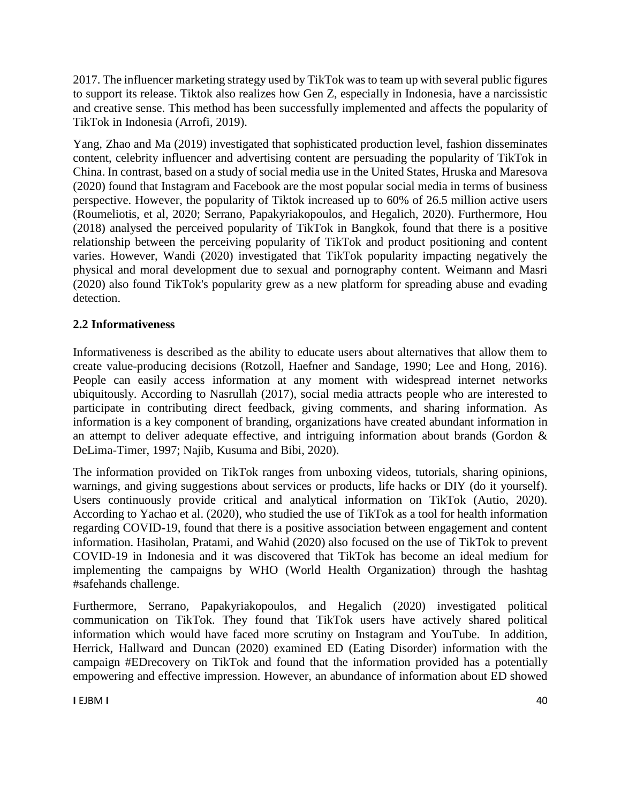2017. The influencer marketing strategy used by TikTok was to team up with several public figures to support its release. Tiktok also realizes how Gen Z, especially in Indonesia, have a narcissistic and creative sense. This method has been successfully implemented and affects the popularity of TikTok in Indonesia (Arrofi, 2019).

Yang, Zhao and Ma (2019) investigated that sophisticated production level, fashion disseminates content, celebrity influencer and advertising content are persuading the popularity of TikTok in China. In contrast, based on a study of social media use in the United States, Hruska and Maresova (2020) found that Instagram and Facebook are the most popular social media in terms of business perspective. However, the popularity of Tiktok increased up to 60% of 26.5 million active users (Roumeliotis, et al, 2020; Serrano, Papakyriakopoulos, and Hegalich, 2020). Furthermore, Hou (2018) analysed the perceived popularity of TikTok in Bangkok, found that there is a positive relationship between the perceiving popularity of TikTok and product positioning and content varies. However, Wandi (2020) investigated that TikTok popularity impacting negatively the physical and moral development due to sexual and pornography content. Weimann and Masri (2020) also found TikTok's popularity grew as a new platform for spreading abuse and evading detection.

## **2.2 Informativeness**

Informativeness is described as the ability to educate users about alternatives that allow them to create value-producing decisions (Rotzoll, Haefner and Sandage, 1990; Lee and Hong, 2016). People can easily access information at any moment with widespread internet networks ubiquitously. According to Nasrullah (2017), social media attracts people who are interested to participate in contributing direct feedback, giving comments, and sharing information. As information is a key component of branding, organizations have created abundant information in an attempt to deliver adequate effective, and intriguing information about brands (Gordon & DeLima-Timer, 1997; Najib, Kusuma and Bibi, 2020).

The information provided on TikTok ranges from unboxing videos, tutorials, sharing opinions, warnings, and giving suggestions about services or products, life hacks or DIY (do it yourself). Users continuously provide critical and analytical information on TikTok (Autio, 2020). According to Yachao et al. (2020), who studied the use of TikTok as a tool for health information regarding COVID-19, found that there is a positive association between engagement and content information. Hasiholan, Pratami, and Wahid (2020) also focused on the use of TikTok to prevent COVID-19 in Indonesia and it was discovered that TikTok has become an ideal medium for implementing the campaigns by WHO (World Health Organization) through the hashtag #safehands challenge.

Furthermore, Serrano, Papakyriakopoulos, and Hegalich (2020) investigated political communication on TikTok. They found that TikTok users have actively shared political information which would have faced more scrutiny on Instagram and YouTube. In addition, Herrick, Hallward and Duncan (2020) examined ED (Eating Disorder) information with the campaign #EDrecovery on TikTok and found that the information provided has a potentially empowering and effective impression. However, an abundance of information about ED showed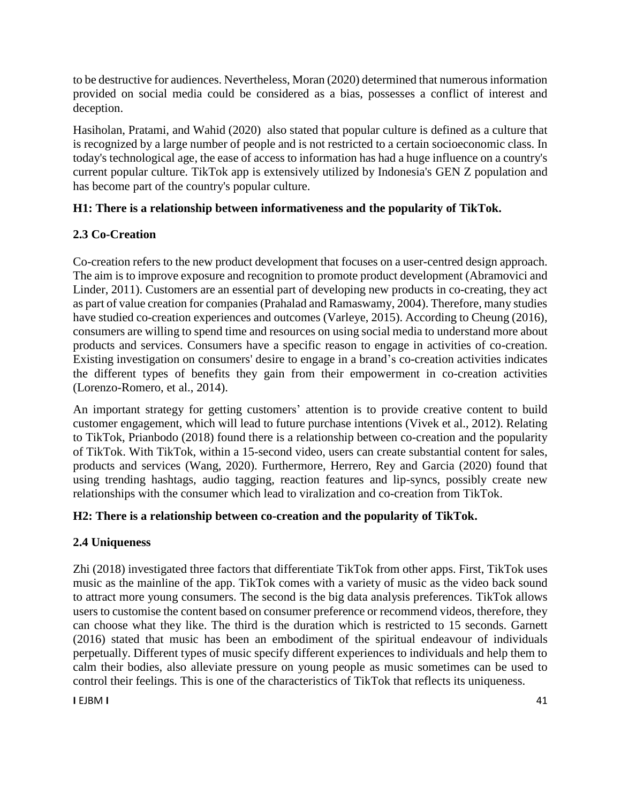to be destructive for audiences. Nevertheless, Moran (2020) determined that numerous information provided on social media could be considered as a bias, possesses a conflict of interest and deception.

Hasiholan, Pratami, and Wahid (2020) also stated that popular culture is defined as a culture that is recognized by a large number of people and is not restricted to a certain socioeconomic class. In today's technological age, the ease of access to information has had a huge influence on a country's current popular culture. TikTok app is extensively utilized by Indonesia's GEN Z population and has become part of the country's popular culture.

# **H1: There is a relationship between informativeness and the popularity of TikTok.**

# **2.3 Co-Creation**

Co-creation refers to the new product development that focuses on a user-centred design approach. The aim is to improve exposure and recognition to promote product development (Abramovici and Linder, 2011). Customers are an essential part of developing new products in co-creating, they act as part of value creation for companies (Prahalad and Ramaswamy, 2004). Therefore, many studies have studied co-creation experiences and outcomes (Varleye, 2015). According to Cheung (2016), consumers are willing to spend time and resources on using social media to understand more about products and services. Consumers have a specific reason to engage in activities of co-creation. Existing investigation on consumers' desire to engage in a brand's co-creation activities indicates the different types of benefits they gain from their empowerment in co-creation activities (Lorenzo-Romero, et al., 2014).

An important strategy for getting customers' attention is to provide creative content to build customer engagement, which will lead to future purchase intentions (Vivek et al., 2012). Relating to TikTok, Prianbodo (2018) found there is a relationship between co-creation and the popularity of TikTok. With TikTok, within a 15-second video, users can create substantial content for sales, products and services (Wang, 2020). Furthermore, Herrero, Rey and Garcia (2020) found that using trending hashtags, audio tagging, reaction features and lip-syncs, possibly create new relationships with the consumer which lead to viralization and co-creation from TikTok.

# **H2: There is a relationship between co-creation and the popularity of TikTok.**

# **2.4 Uniqueness**

Zhi (2018) investigated three factors that differentiate TikTok from other apps. First, TikTok uses music as the mainline of the app. TikTok comes with a variety of music as the video back sound to attract more young consumers. The second is the big data analysis preferences. TikTok allows users to customise the content based on consumer preference or recommend videos, therefore, they can choose what they like. The third is the duration which is restricted to 15 seconds. Garnett (2016) stated that music has been an embodiment of the spiritual endeavour of individuals perpetually. Different types of music specify different experiences to individuals and help them to calm their bodies, also alleviate pressure on young people as music sometimes can be used to control their feelings. This is one of the characteristics of TikTok that reflects its uniqueness.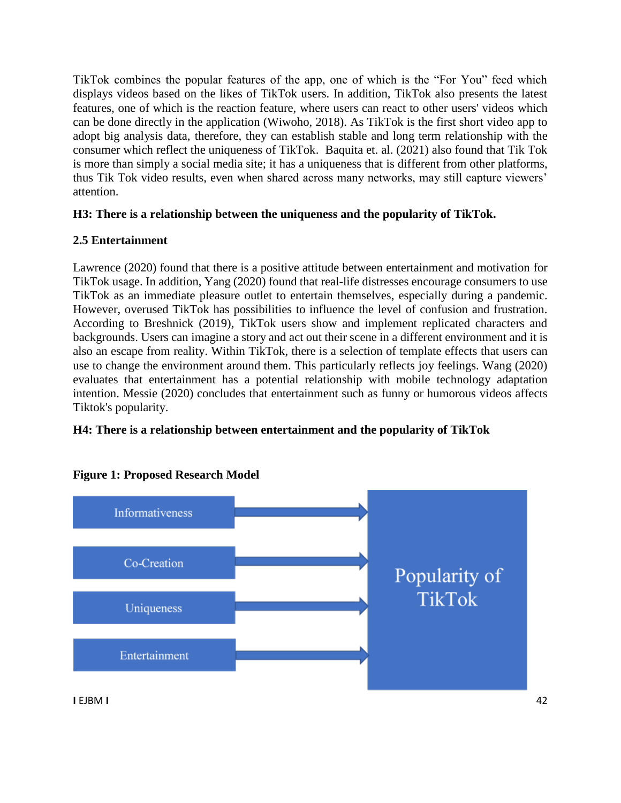TikTok combines the popular features of the app, one of which is the "For You" feed which displays videos based on the likes of TikTok users. In addition, TikTok also presents the latest features, one of which is the reaction feature, where users can react to other users' videos which can be done directly in the application (Wiwoho, 2018). As TikTok is the first short video app to adopt big analysis data, therefore, they can establish stable and long term relationship with the consumer which reflect the uniqueness of TikTok. Baquita et. al. (2021) also found that Tik Tok is more than simply a social media site; it has a uniqueness that is different from other platforms, thus Tik Tok video results, even when shared across many networks, may still capture viewers' attention.

# **H3: There is a relationship between the uniqueness and the popularity of TikTok.**

# **2.5 Entertainment**

Lawrence (2020) found that there is a positive attitude between entertainment and motivation for TikTok usage. In addition, Yang (2020) found that real-life distresses encourage consumers to use TikTok as an immediate pleasure outlet to entertain themselves, especially during a pandemic. However, overused TikTok has possibilities to influence the level of confusion and frustration. According to Breshnick (2019), TikTok users show and implement replicated characters and backgrounds. Users can imagine a story and act out their scene in a different environment and it is also an escape from reality. Within TikTok, there is a selection of template effects that users can use to change the environment around them. This particularly reflects joy feelings. Wang (2020) evaluates that entertainment has a potential relationship with mobile technology adaptation intention. Messie (2020) concludes that entertainment such as funny or humorous videos affects Tiktok's popularity.

## **H4: There is a relationship between entertainment and the popularity of TikTok**



#### **Figure 1: Proposed Research Model**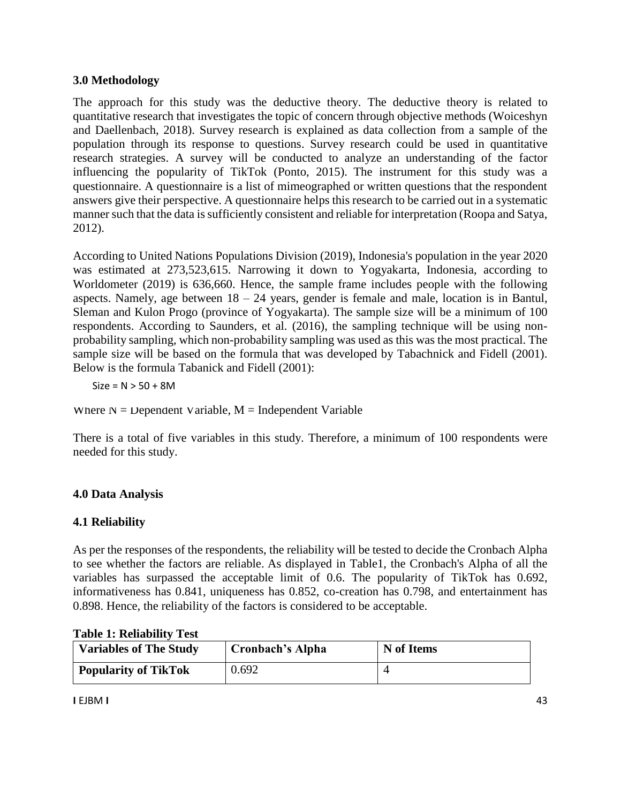## **3.0 Methodology**

The approach for this study was the deductive theory. The deductive theory is related to quantitative research that investigates the topic of concern through objective methods (Woiceshyn and Daellenbach, 2018). Survey research is explained as data collection from a sample of the population through its response to questions. Survey research could be used in quantitative research strategies. A survey will be conducted to analyze an understanding of the factor influencing the popularity of TikTok (Ponto, 2015). The instrument for this study was a questionnaire. A questionnaire is a list of mimeographed or written questions that the respondent answers give their perspective. A questionnaire helps this research to be carried out in a systematic manner such that the data is sufficiently consistent and reliable for interpretation (Roopa and Satya, 2012).

According to United Nations Populations Division (2019), Indonesia's population in the year 2020 was estimated at 273,523,615. Narrowing it down to Yogyakarta, Indonesia, according to Worldometer (2019) is 636,660. Hence, the sample frame includes people with the following aspects. Namely, age between  $18 - 24$  years, gender is female and male, location is in Bantul, Sleman and Kulon Progo (province of Yogyakarta). The sample size will be a minimum of 100 respondents. According to Saunders, et al. (2016), the sampling technique will be using nonprobability sampling, which non-probability sampling was used as this was the most practical. The sample size will be based on the formula that was developed by Tabachnick and Fidell (2001). Below is the formula Tabanick and Fidell (2001):

 $Size = N > 50 + 8M$ 

Where  $N = \text{Dependent}$  Variable,  $M = \text{Independent}$  Variable

There is a total of five variables in this study. Therefore, a minimum of 100 respondents were needed for this study.

## **4.0 Data Analysis**

## **4.1 Reliability**

As per the responses of the respondents, the reliability will be tested to decide the Cronbach Alpha to see whether the factors are reliable. As displayed in Table1, the Cronbach's Alpha of all the variables has surpassed the acceptable limit of 0.6. The popularity of TikTok has 0.692, informativeness has 0.841, uniqueness has 0.852, co-creation has 0.798, and entertainment has 0.898. Hence, the reliability of the factors is considered to be acceptable.

| <b>Variables of The Study</b> | Cronbach's Alpha | N of Items |
|-------------------------------|------------------|------------|
| <b>Popularity of TikTok</b>   | 0.692            |            |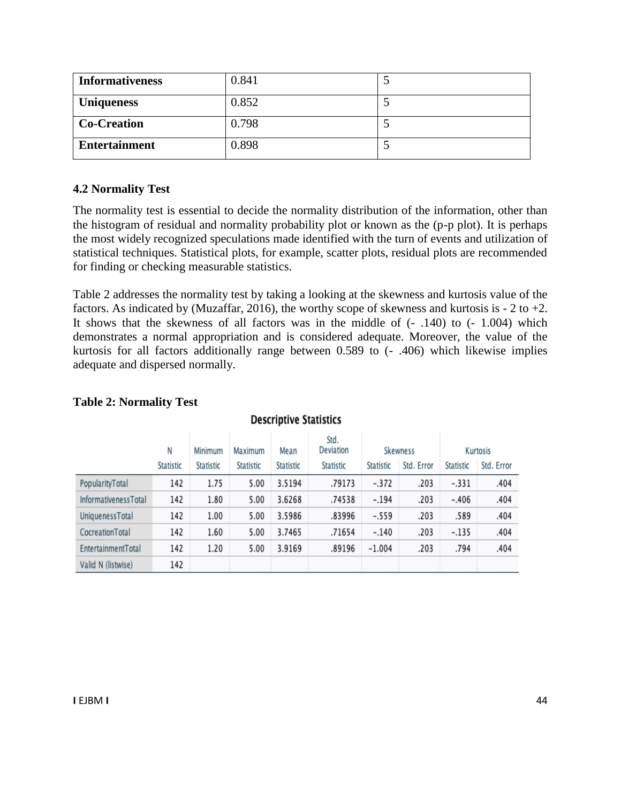| <b>Informativeness</b> | 0.841 |  |
|------------------------|-------|--|
| <b>Uniqueness</b>      | 0.852 |  |
| <b>Co-Creation</b>     | 0.798 |  |
| <b>Entertainment</b>   | 0.898 |  |

#### **4.2 Normality Test**

The normality test is essential to decide the normality distribution of the information, other than the histogram of residual and normality probability plot or known as the (p-p plot). It is perhaps the most widely recognized speculations made identified with the turn of events and utilization of statistical techniques. Statistical plots, for example, scatter plots, residual plots are recommended for finding or checking measurable statistics.

Table 2 addresses the normality test by taking a looking at the skewness and kurtosis value of the factors. As indicated by (Muzaffar, 2016), the worthy scope of skewness and kurtosis is  $-2$  to  $+2$ . It shows that the skewness of all factors was in the middle of  $(-1.140)$  to  $(-1.004)$  which demonstrates a normal appropriation and is considered adequate. Moreover, the value of the kurtosis for all factors additionally range between 0.589 to (- .406) which likewise implies adequate and dispersed normally.

|                             | Ν         | Minimum   | Maximum   | Mean      | Std.<br>Deviation | Skewness  |            | Kurtosis  |            |
|-----------------------------|-----------|-----------|-----------|-----------|-------------------|-----------|------------|-----------|------------|
|                             | Statistic | Statistic | Statistic | Statistic | Statistic         | Statistic | Std. Error | Statistic | Std. Error |
| PopularityTotal             | 142       | 1.75      | 5.00      | 3.5194    | .79173            | $-.372$   | .203       | $-.331$   | .404       |
| <b>InformativenessTotal</b> | 142       | 1.80      | 5.00      | 3.6268    | .74538            | $-.194$   | .203       | $-.406$   | .404       |
| UniquenessTotal             | 142       | 1.00      | 5.00      | 3.5986    | .83996            | $-.559$   | .203       | .589      | .404       |
| CocreationTotal             | 142       | 1.60      | 5.00      | 3.7465    | .71654            | $-.140$   | .203       | $-.135$   | .404       |
| EntertainmentTotal          | 142       | 1.20      | 5.00      | 3.9169    | .89196            | $-1.004$  | .203       | .794      | .404       |
| Valid N (listwise)          | 142       |           |           |           |                   |           |            |           |            |

**Descriptive Statistics** 

# **Table 2: Normality Test**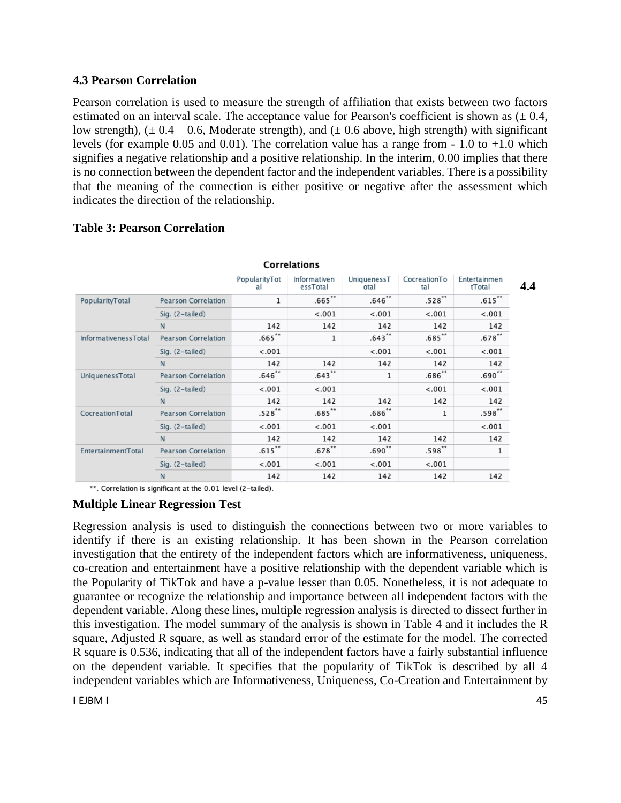#### **4.3 Pearson Correlation**

Pearson correlation is used to measure the strength of affiliation that exists between two factors estimated on an interval scale. The acceptance value for Pearson's coefficient is shown as  $(\pm 0.4, \pm 0.4)$ low strength),  $(\pm 0.4 - 0.6$ , Moderate strength), and  $(\pm 0.6$  above, high strength) with significant levels (for example 0.05 and 0.01). The correlation value has a range from  $-1.0$  to  $+1.0$  which signifies a negative relationship and a positive relationship. In the interim, 0.00 implies that there is no connection between the dependent factor and the independent variables. There is a possibility that the meaning of the connection is either positive or negative after the assessment which indicates the direction of the relationship.

| <b>Correlations</b>  |                            |                     |                          |                     |                     |                        |     |  |
|----------------------|----------------------------|---------------------|--------------------------|---------------------|---------------------|------------------------|-----|--|
|                      |                            | PopularityTot<br>al | Informativen<br>essTotal | UniquenessT<br>otal | CocreationTo<br>tal | Entertainmen<br>tTotal | 4.4 |  |
| PopularityTotal      | <b>Pearson Correlation</b> | 1                   | $.665***$                | $.646**$            | $.528**$            | $.615***$              |     |  |
|                      | Sig. (2-tailed)            |                     | < .001                   | < .001              | < .001              | < .001                 |     |  |
|                      | N                          | 142                 | 142                      | 142                 | 142                 | 142                    |     |  |
| InformativenessTotal | <b>Pearson Correlation</b> | $.665$ **           | 1                        | $.643$ **           | $.685**$            | $.678**$               |     |  |
|                      | Sig. (2-tailed)            | < .001              |                          | < .001              | < .001              | < .001                 |     |  |
|                      | N                          | 142                 | 142                      | 142                 | 142                 | 142                    |     |  |
| UniquenessTotal      | <b>Pearson Correlation</b> | $.646$ **           | $.643$ **                | 1                   | $.686**$            | $.690**$               |     |  |
|                      | Sig. (2-tailed)            | < .001              | < .001                   |                     | < .001              | < .001                 |     |  |
|                      | N                          | 142                 | 142                      | 142                 | 142                 | 142                    |     |  |
| CocreationTotal      | <b>Pearson Correlation</b> | $.528**$            | $.685**$                 | $.686**$            | 1                   | $.598**$               |     |  |
|                      | Sig. (2-tailed)            | < .001              | < .001                   | < .001              |                     | < .001                 |     |  |
|                      | N                          | 142                 | 142                      | 142                 | 142                 | 142                    |     |  |
| EntertainmentTotal   | <b>Pearson Correlation</b> | $.615$ **           | $.678$ **                | $.690**$            | $.598**$            | 1                      |     |  |
|                      | Sig. (2-tailed)            | < .001              | < .001                   | < .001              | < .001              |                        |     |  |
|                      | N                          | 142                 | 142                      | 142                 | 142                 | 142                    |     |  |

#### **Table 3: Pearson Correlation**

\*\*. Correlation is significant at the 0.01 level (2-tailed).

#### **Multiple Linear Regression Test**

Regression analysis is used to distinguish the connections between two or more variables to identify if there is an existing relationship. It has been shown in the Pearson correlation investigation that the entirety of the independent factors which are informativeness, uniqueness, co-creation and entertainment have a positive relationship with the dependent variable which is the Popularity of TikTok and have a p-value lesser than 0.05. Nonetheless, it is not adequate to guarantee or recognize the relationship and importance between all independent factors with the dependent variable. Along these lines, multiple regression analysis is directed to dissect further in this investigation. The model summary of the analysis is shown in Table 4 and it includes the R square, Adjusted R square, as well as standard error of the estimate for the model. The corrected R square is 0.536, indicating that all of the independent factors have a fairly substantial influence on the dependent variable. It specifies that the popularity of TikTok is described by all 4 independent variables which are Informativeness, Uniqueness, Co-Creation and Entertainment by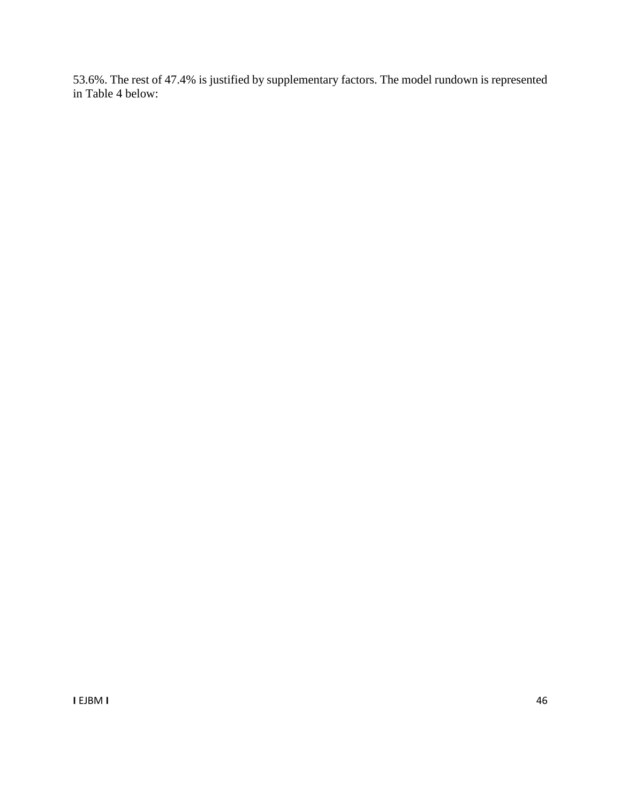53.6%. The rest of 47.4% is justified by supplementary factors. The model rundown is represented in Table 4 below: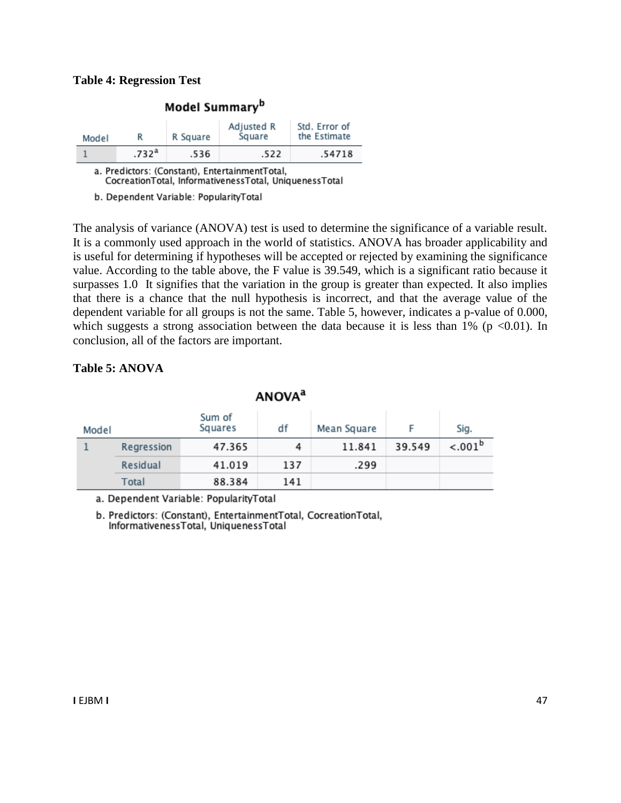#### **Table 4: Regression Test**

| Model                                                                                                    |                   | R Square | Adjusted R<br>Square | Std. Error of<br>the Estimate |  |  |  |  |
|----------------------------------------------------------------------------------------------------------|-------------------|----------|----------------------|-------------------------------|--|--|--|--|
|                                                                                                          | .732 <sup>a</sup> | .536     | .522                 | .54718                        |  |  |  |  |
| a. Predictors: (Constant), EntertainmentTotal,<br>CocreationTotal, InformativenessTotal, UniquenessTotal |                   |          |                      |                               |  |  |  |  |

Model Summarv<sup>b</sup>

b. Dependent Variable: PopularityTotal

The analysis of variance (ANOVA) test is used to determine the significance of a variable result. It is a commonly used approach in the world of statistics. ANOVA has broader applicability and is useful for determining if hypotheses will be accepted or rejected by examining the significance value. According to the table above, the F value is 39.549, which is a significant ratio because it surpasses 1.0 It signifies that the variation in the group is greater than expected. It also implies that there is a chance that the null hypothesis is incorrect, and that the average value of the dependent variable for all groups is not the same. Table 5, however, indicates a p-value of 0.000, which suggests a strong association between the data because it is less than  $1\%$  (p <0.01). In conclusion, all of the factors are important.

#### **Table 5: ANOVA**

| Model |            | Sum of<br>Squares | df  | Mean Square |        | Sig.       |
|-------|------------|-------------------|-----|-------------|--------|------------|
|       | Regression | 47.365            | 4   | 11.841      | 39.549 | $< .001^b$ |
|       | Residual   | 41.019            | 137 | .299        |        |            |
|       | Total      | 88.384            | 141 |             |        |            |

**ANOVA**<sup>a</sup>

a. Dependent Variable: PopularityTotal

b. Predictors: (Constant), EntertainmentTotal, CocreationTotal, InformativenessTotal, UniquenessTotal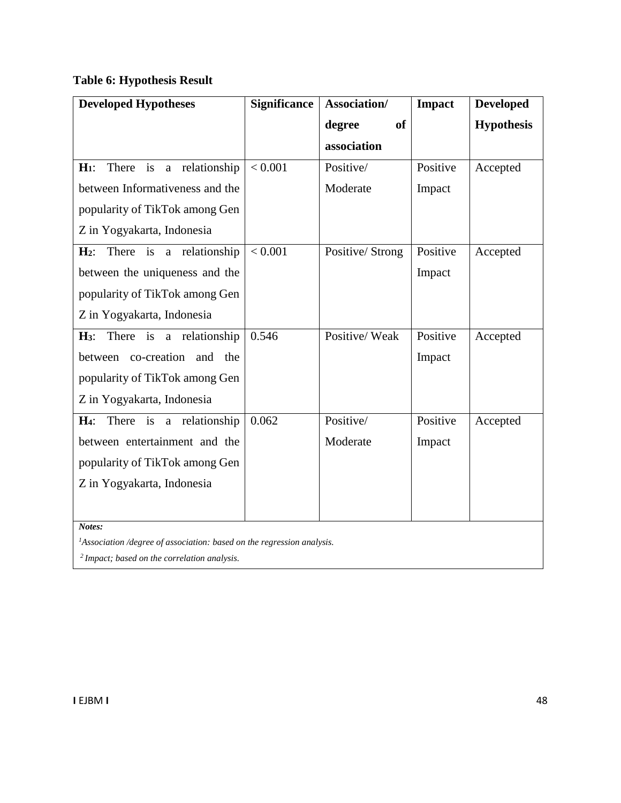# **Table 6: Hypothesis Result**

| <b>Developed Hypotheses</b>                                                        | <b>Significance</b> | Association/        | <b>Impact</b> | <b>Developed</b>  |  |  |  |
|------------------------------------------------------------------------------------|---------------------|---------------------|---------------|-------------------|--|--|--|
|                                                                                    |                     | <b>of</b><br>degree |               | <b>Hypothesis</b> |  |  |  |
|                                                                                    |                     | association         |               |                   |  |  |  |
| a relationship<br>$H_1$ :<br>There<br>is                                           | < 0.001             | Positive/           | Positive      | Accepted          |  |  |  |
| between Informativeness and the                                                    |                     | Moderate            | Impact        |                   |  |  |  |
| popularity of TikTok among Gen                                                     |                     |                     |               |                   |  |  |  |
| Z in Yogyakarta, Indonesia                                                         |                     |                     |               |                   |  |  |  |
| There is a relationship<br>$H_2$ :                                                 | < 0.001             | Positive/Strong     | Positive      | Accepted          |  |  |  |
| between the uniqueness and the                                                     |                     |                     | Impact        |                   |  |  |  |
| popularity of TikTok among Gen                                                     |                     |                     |               |                   |  |  |  |
| Z in Yogyakarta, Indonesia                                                         |                     |                     |               |                   |  |  |  |
| a relationship<br>There is<br>$H_3$ :                                              | 0.546               | Positive/Weak       | Positive      | Accepted          |  |  |  |
| between co-creation and the                                                        |                     |                     | Impact        |                   |  |  |  |
| popularity of TikTok among Gen                                                     |                     |                     |               |                   |  |  |  |
| Z in Yogyakarta, Indonesia                                                         |                     |                     |               |                   |  |  |  |
| There is<br>a relationship<br>$H_4$ :                                              | 0.062               | Positive/           | Positive      | Accepted          |  |  |  |
| between entertainment and the                                                      |                     | Moderate            | Impact        |                   |  |  |  |
| popularity of TikTok among Gen                                                     |                     |                     |               |                   |  |  |  |
| Z in Yogyakarta, Indonesia                                                         |                     |                     |               |                   |  |  |  |
|                                                                                    |                     |                     |               |                   |  |  |  |
| Notes:                                                                             |                     |                     |               |                   |  |  |  |
| <sup>1</sup> Association /degree of association: based on the regression analysis. |                     |                     |               |                   |  |  |  |

*<sup>2</sup>Impact; based on the correlation analysis.*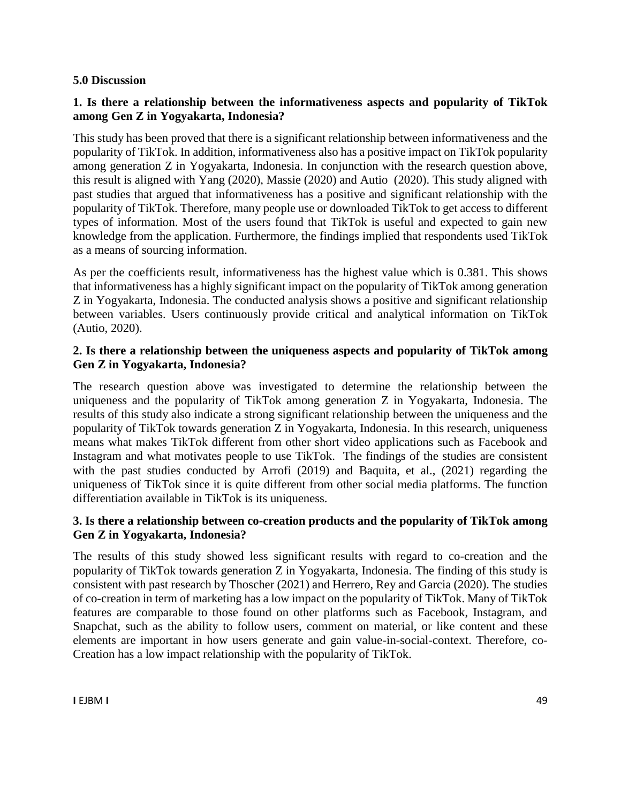#### **5.0 Discussion**

#### **1. Is there a relationship between the informativeness aspects and popularity of TikTok among Gen Z in Yogyakarta, Indonesia?**

This study has been proved that there is a significant relationship between informativeness and the popularity of TikTok. In addition, informativeness also has a positive impact on TikTok popularity among generation Z in Yogyakarta, Indonesia. In conjunction with the research question above, this result is aligned with Yang (2020), Massie (2020) and Autio (2020). This study aligned with past studies that argued that informativeness has a positive and significant relationship with the popularity of TikTok. Therefore, many people use or downloaded TikTok to get access to different types of information. Most of the users found that TikTok is useful and expected to gain new knowledge from the application. Furthermore, the findings implied that respondents used TikTok as a means of sourcing information.

As per the coefficients result, informativeness has the highest value which is 0.381. This shows that informativeness has a highly significant impact on the popularity of TikTok among generation Z in Yogyakarta, Indonesia. The conducted analysis shows a positive and significant relationship between variables. Users continuously provide critical and analytical information on TikTok (Autio, 2020).

#### **2. Is there a relationship between the uniqueness aspects and popularity of TikTok among Gen Z in Yogyakarta, Indonesia?**

The research question above was investigated to determine the relationship between the uniqueness and the popularity of TikTok among generation Z in Yogyakarta, Indonesia. The results of this study also indicate a strong significant relationship between the uniqueness and the popularity of TikTok towards generation Z in Yogyakarta, Indonesia. In this research, uniqueness means what makes TikTok different from other short video applications such as Facebook and Instagram and what motivates people to use TikTok. The findings of the studies are consistent with the past studies conducted by Arrofi (2019) and Baquita, et al., (2021) regarding the uniqueness of TikTok since it is quite different from other social media platforms. The function differentiation available in TikTok is its uniqueness.

#### **3. Is there a relationship between co-creation products and the popularity of TikTok among Gen Z in Yogyakarta, Indonesia?**

The results of this study showed less significant results with regard to co-creation and the popularity of TikTok towards generation Z in Yogyakarta, Indonesia. The finding of this study is consistent with past research by Thoscher (2021) and Herrero, Rey and Garcia (2020). The studies of co-creation in term of marketing has a low impact on the popularity of TikTok. Many of TikTok features are comparable to those found on other platforms such as Facebook, Instagram, and Snapchat, such as the ability to follow users, comment on material, or like content and these elements are important in how users generate and gain value-in-social-context. Therefore, co-Creation has a low impact relationship with the popularity of TikTok.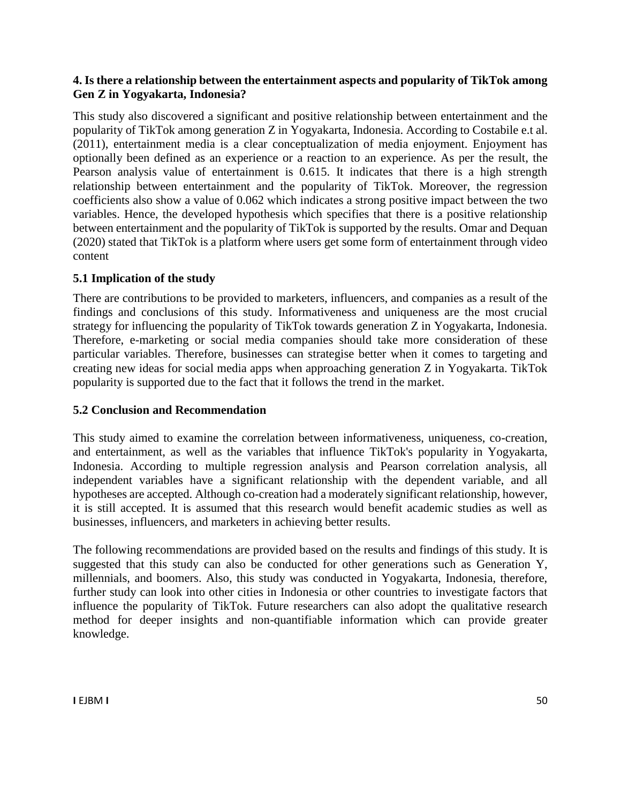#### **4. Is there a relationship between the entertainment aspects and popularity of TikTok among Gen Z in Yogyakarta, Indonesia?**

This study also discovered a significant and positive relationship between entertainment and the popularity of TikTok among generation Z in Yogyakarta, Indonesia. According to Costabile e.t al. (2011), entertainment media is a clear conceptualization of media enjoyment. Enjoyment has optionally been defined as an experience or a reaction to an experience. As per the result, the Pearson analysis value of entertainment is 0.615. It indicates that there is a high strength relationship between entertainment and the popularity of TikTok. Moreover, the regression coefficients also show a value of 0.062 which indicates a strong positive impact between the two variables. Hence, the developed hypothesis which specifies that there is a positive relationship between entertainment and the popularity of TikTok is supported by the results. Omar and Dequan (2020) stated that TikTok is a platform where users get some form of entertainment through video content

## **5.1 Implication of the study**

There are contributions to be provided to marketers, influencers, and companies as a result of the findings and conclusions of this study. Informativeness and uniqueness are the most crucial strategy for influencing the popularity of TikTok towards generation Z in Yogyakarta, Indonesia. Therefore, e-marketing or social media companies should take more consideration of these particular variables. Therefore, businesses can strategise better when it comes to targeting and creating new ideas for social media apps when approaching generation Z in Yogyakarta. TikTok popularity is supported due to the fact that it follows the trend in the market.

## **5.2 Conclusion and Recommendation**

This study aimed to examine the correlation between informativeness, uniqueness, co-creation, and entertainment, as well as the variables that influence TikTok's popularity in Yogyakarta, Indonesia. According to multiple regression analysis and Pearson correlation analysis, all independent variables have a significant relationship with the dependent variable, and all hypotheses are accepted. Although co-creation had a moderately significant relationship, however, it is still accepted. It is assumed that this research would benefit academic studies as well as businesses, influencers, and marketers in achieving better results.

The following recommendations are provided based on the results and findings of this study. It is suggested that this study can also be conducted for other generations such as Generation Y, millennials, and boomers. Also, this study was conducted in Yogyakarta, Indonesia, therefore, further study can look into other cities in Indonesia or other countries to investigate factors that influence the popularity of TikTok. Future researchers can also adopt the qualitative research method for deeper insights and non-quantifiable information which can provide greater knowledge.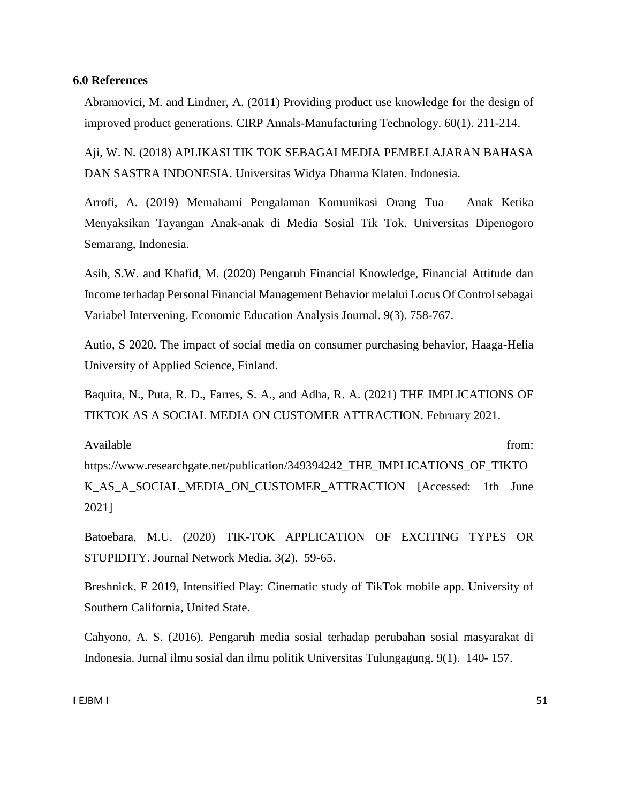#### **6.0 References**

Abramovici, M. and Lindner, A. (2011) Providing product use knowledge for the design of improved product generations. CIRP Annals-Manufacturing Technology. 60(1). 211-214.

Aji, W. N. (2018) APLIKASI TIK TOK SEBAGAI MEDIA PEMBELAJARAN BAHASA DAN SASTRA INDONESIA. Universitas Widya Dharma Klaten. Indonesia.

Arrofi, A. (2019) Memahami Pengalaman Komunikasi Orang Tua – Anak Ketika Menyaksikan Tayangan Anak-anak di Media Sosial Tik Tok. Universitas Dipenogoro Semarang, Indonesia.

Asih, S.W. and Khafid, M. (2020) Pengaruh Financial Knowledge, Financial Attitude dan Income terhadap Personal Financial Management Behavior melalui Locus Of Control sebagai Variabel Intervening. Economic Education Analysis Journal. 9(3). 758-767.

Autio, S 2020, The impact of social media on consumer purchasing behavior, Haaga-Helia University of Applied Science, Finland.

Baquita, N., Puta, R. D., Farres, S. A., and Adha, R. A. (2021) THE IMPLICATIONS OF TIKTOK AS A SOCIAL MEDIA ON CUSTOMER ATTRACTION. February 2021.

Available from:  $\blacksquare$ 

https://www.researchgate.net/publication/349394242\_THE\_IMPLICATIONS\_OF\_TIKTO K\_AS\_A\_SOCIAL\_MEDIA\_ON\_CUSTOMER\_ATTRACTION [Accessed: 1th June 2021]

Batoebara, M.U. (2020) TIK-TOK APPLICATION OF EXCITING TYPES OR STUPIDITY. Journal Network Media. 3(2). 59-65.

Breshnick, E 2019, Intensified Play: Cinematic study of TikTok mobile app. University of Southern California, United State.

Cahyono, A. S. (2016). Pengaruh media sosial terhadap perubahan sosial masyarakat di Indonesia. Jurnal ilmu sosial dan ilmu politik Universitas Tulungagung. 9(1). 140- 157.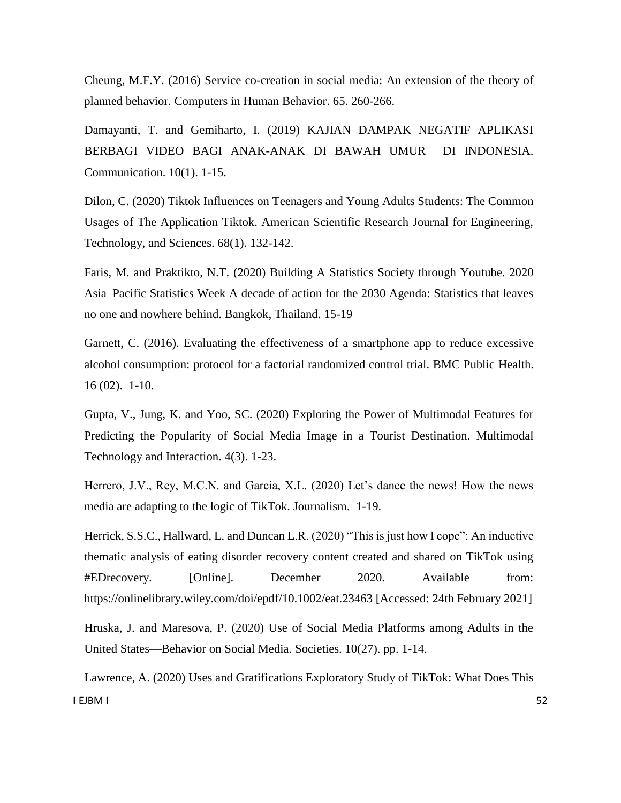Cheung, M.F.Y. (2016) Service co-creation in social media: An extension of the theory of planned behavior. Computers in Human Behavior. 65. 260-266.

Damayanti, T. and Gemiharto, I. (2019) KAJIAN DAMPAK NEGATIF APLIKASI BERBAGI VIDEO BAGI ANAK-ANAK DI BAWAH UMUR DI INDONESIA. Communication. 10(1). 1-15.

Dilon, C. (2020) Tiktok Influences on Teenagers and Young Adults Students: The Common Usages of The Application Tiktok. American Scientific Research Journal for Engineering, Technology, and Sciences. 68(1). 132-142.

Faris, M. and Praktikto, N.T. (2020) Building A Statistics Society through Youtube. 2020 Asia–Pacific Statistics Week A decade of action for the 2030 Agenda: Statistics that leaves no one and nowhere behind. Bangkok, Thailand. 15-19

Garnett, C. (2016). Evaluating the effectiveness of a smartphone app to reduce excessive alcohol consumption: protocol for a factorial randomized control trial. BMC Public Health. 16 (02). 1-10.

Gupta, V., Jung, K. and Yoo, SC. (2020) Exploring the Power of Multimodal Features for Predicting the Popularity of Social Media Image in a Tourist Destination. Multimodal Technology and Interaction. 4(3). 1-23.

Herrero, J.V., Rey, M.C.N. and Garcia, X.L. (2020) Let's dance the news! How the news media are adapting to the logic of TikTok. Journalism. 1-19.

Herrick, S.S.C., Hallward, L. and Duncan L.R. (2020) "This is just how I cope": An inductive thematic analysis of eating disorder recovery content created and shared on TikTok using #EDrecovery. [Online]. December 2020. Available from: https://onlinelibrary.wiley.com/doi/epdf/10.1002/eat.23463 [Accessed: 24th February 2021]

Hruska, J. and Maresova, P. (2020) Use of Social Media Platforms among Adults in the United States—Behavior on Social Media. Societies. 10(27). pp. 1-14.

**I** EJBM **I** 52 Lawrence, A. (2020) Uses and Gratifications Exploratory Study of TikTok: What Does This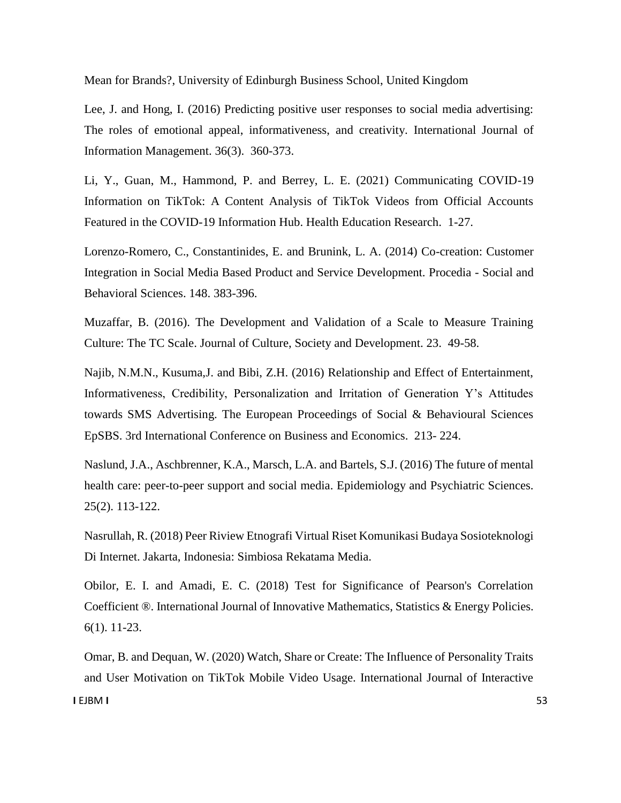Mean for Brands?, University of Edinburgh Business School, United Kingdom

Lee, J. and Hong, I. (2016) Predicting positive user responses to social media advertising: The roles of emotional appeal, informativeness, and creativity. International Journal of Information Management. 36(3). 360-373.

Li, Y., Guan, M., Hammond, P. and Berrey, L. E. (2021) Communicating COVID-19 Information on TikTok: A Content Analysis of TikTok Videos from Official Accounts Featured in the COVID-19 Information Hub. Health Education Research. 1-27.

Lorenzo-Romero, C., Constantinides, E. and Brunink, L. A. (2014) Co-creation: Customer Integration in Social Media Based Product and Service Development. Procedia - Social and Behavioral Sciences. 148. 383-396.

Muzaffar, B. (2016). The Development and Validation of a Scale to Measure Training Culture: The TC Scale. Journal of Culture, Society and Development. 23. 49-58.

Najib, N.M.N., Kusuma,J. and Bibi, Z.H. (2016) Relationship and Effect of Entertainment, Informativeness, Credibility, Personalization and Irritation of Generation Y's Attitudes towards SMS Advertising. The European Proceedings of Social & Behavioural Sciences EpSBS. 3rd International Conference on Business and Economics. 213- 224.

Naslund, J.A., Aschbrenner, K.A., Marsch, L.A. and Bartels, S.J. (2016) The future of mental health care: peer-to-peer support and social media. Epidemiology and Psychiatric Sciences. 25(2). 113-122.

Nasrullah, R. (2018) Peer Riview Etnografi Virtual Riset Komunikasi Budaya Sosioteknologi Di Internet. Jakarta, Indonesia: Simbiosa Rekatama Media.

Obilor, E. I. and Amadi, E. C. (2018) Test for Significance of Pearson's Correlation Coefficient ®. International Journal of Innovative Mathematics, Statistics & Energy Policies. 6(1). 11-23.

**I** EJBM **I** 53 Omar, B. and Dequan, W. (2020) Watch, Share or Create: The Influence of Personality Traits and User Motivation on TikTok Mobile Video Usage. International Journal of Interactive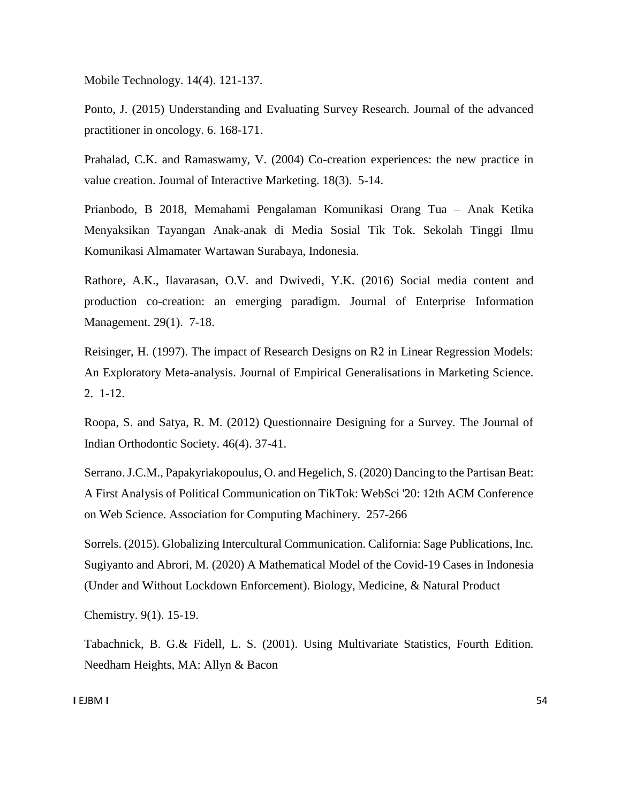Mobile Technology. 14(4). 121-137.

Ponto, J. (2015) Understanding and Evaluating Survey Research. Journal of the advanced practitioner in oncology. 6. 168-171.

Prahalad, C.K. and Ramaswamy, V. (2004) Co-creation experiences: the new practice in value creation. Journal of Interactive Marketing. 18(3). 5-14.

Prianbodo, B 2018, Memahami Pengalaman Komunikasi Orang Tua – Anak Ketika Menyaksikan Tayangan Anak-anak di Media Sosial Tik Tok. Sekolah Tinggi Ilmu Komunikasi Almamater Wartawan Surabaya, Indonesia.

Rathore, A.K., Ilavarasan, O.V. and Dwivedi, Y.K. (2016) Social media content and production co-creation: an emerging paradigm. Journal of Enterprise Information Management. 29(1). 7-18.

Reisinger, H. (1997). The impact of Research Designs on R2 in Linear Regression Models: An Exploratory Meta-analysis. Journal of Empirical Generalisations in Marketing Science. 2. 1-12.

Roopa, S. and Satya, R. M. (2012) Questionnaire Designing for a Survey. The Journal of Indian Orthodontic Society. 46(4). 37-41.

Serrano. J.C.M., Papakyriakopoulus, O. and Hegelich, S. (2020) Dancing to the Partisan Beat: A First Analysis of Political Communication on TikTok: WebSci '20: 12th ACM Conference on Web Science. Association for Computing Machinery. 257-266

Sorrels. (2015). Globalizing Intercultural Communication. California: Sage Publications, Inc. Sugiyanto and Abrori, M. (2020) A Mathematical Model of the Covid-19 Cases in Indonesia (Under and Without Lockdown Enforcement). Biology, Medicine, & Natural Product

Chemistry. 9(1). 15-19.

Tabachnick, B. G.& Fidell, L. S. (2001). Using Multivariate Statistics, Fourth Edition. Needham Heights, MA: Allyn & Bacon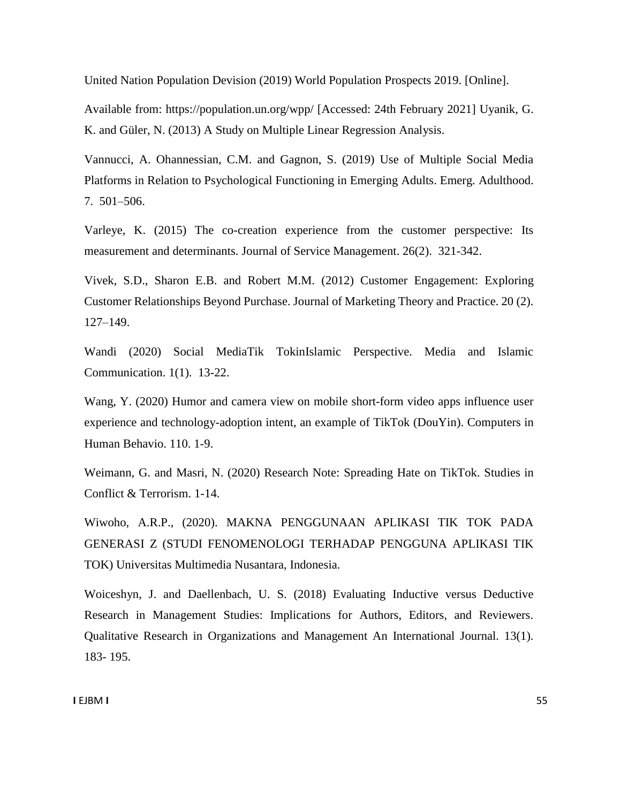United Nation Population Devision (2019) World Population Prospects 2019. [Online].

Available from: https://population.un.org/wpp/ [Accessed: 24th February 2021] Uyanik, G. K. and Güler, N. (2013) A Study on Multiple Linear Regression Analysis.

Vannucci, A. Ohannessian, C.M. and Gagnon, S. (2019) Use of Multiple Social Media Platforms in Relation to Psychological Functioning in Emerging Adults. Emerg. Adulthood. 7. 501–506.

Varleye, K. (2015) The co-creation experience from the customer perspective: Its measurement and determinants. Journal of Service Management. 26(2). 321-342.

Vivek, S.D., Sharon E.B. and Robert M.M. (2012) Customer Engagement: Exploring Customer Relationships Beyond Purchase. Journal of Marketing Theory and Practice. 20 (2). 127–149.

Wandi (2020) Social MediaTik TokinIslamic Perspective. Media and Islamic Communication. 1(1). 13-22.

Wang, Y. (2020) Humor and camera view on mobile short-form video apps influence user experience and technology-adoption intent, an example of TikTok (DouYin). Computers in Human Behavio. 110. 1-9.

Weimann, G. and Masri, N. (2020) Research Note: Spreading Hate on TikTok. Studies in Conflict & Terrorism. 1-14.

Wiwoho, A.R.P., (2020). MAKNA PENGGUNAAN APLIKASI TIK TOK PADA GENERASI Z (STUDI FENOMENOLOGI TERHADAP PENGGUNA APLIKASI TIK TOK) Universitas Multimedia Nusantara, Indonesia.

Woiceshyn, J. and Daellenbach, U. S. (2018) Evaluating Inductive versus Deductive Research in Management Studies: Implications for Authors, Editors, and Reviewers. Qualitative Research in Organizations and Management An International Journal. 13(1). 183- 195.